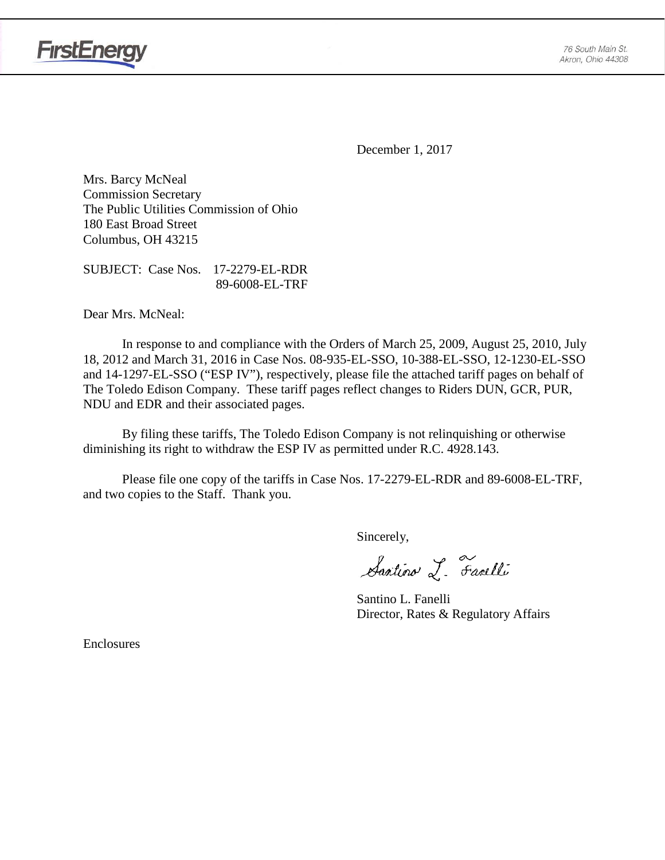

**FirstEnergy** 

December 1, 2017

Mrs. Barcy McNeal Commission Secretary The Public Utilities Commission of Ohio 180 East Broad Street Columbus, OH 43215

SUBJECT: Case Nos. 17-2279-EL-RDR 89-6008-EL-TRF

Dear Mrs. McNeal:

In response to and compliance with the Orders of March 25, 2009, August 25, 2010, July 18, 2012 and March 31, 2016 in Case Nos. 08-935-EL-SSO, 10-388-EL-SSO, 12-1230-EL-SSO and 14-1297-EL-SSO ("ESP IV"), respectively, please file the attached tariff pages on behalf of The Toledo Edison Company. These tariff pages reflect changes to Riders DUN, GCR, PUR, NDU and EDR and their associated pages.

By filing these tariffs, The Toledo Edison Company is not relinquishing or otherwise diminishing its right to withdraw the ESP IV as permitted under R.C. 4928.143.

Please file one copy of the tariffs in Case Nos. 17-2279-EL-RDR and 89-6008-EL-TRF, and two copies to the Staff. Thank you.

Sincerely,

Santino L. Farelli

Santino L. Fanelli Director, Rates & Regulatory Affairs

Enclosures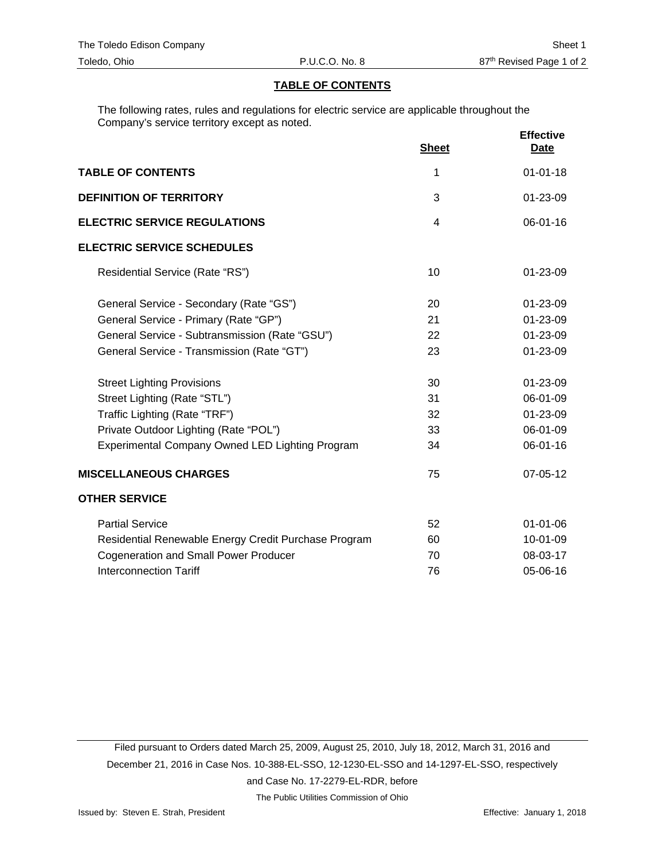## **TABLE OF CONTENTS**

The following rates, rules and regulations for electric service are applicable throughout the Company's service territory except as noted.

|                                                      | <b>Sheet</b> | <b>Effective</b><br><b>Date</b> |
|------------------------------------------------------|--------------|---------------------------------|
| <b>TABLE OF CONTENTS</b>                             | 1            | $01 - 01 - 18$                  |
| <b>DEFINITION OF TERRITORY</b>                       | 3            | 01-23-09                        |
| <b>ELECTRIC SERVICE REGULATIONS</b>                  | 4            | 06-01-16                        |
| <b>ELECTRIC SERVICE SCHEDULES</b>                    |              |                                 |
| Residential Service (Rate "RS")                      | 10           | $01 - 23 - 09$                  |
| General Service - Secondary (Rate "GS")              | 20           | $01 - 23 - 09$                  |
| General Service - Primary (Rate "GP")                | 21           | 01-23-09                        |
| General Service - Subtransmission (Rate "GSU")       | 22           | 01-23-09                        |
| General Service - Transmission (Rate "GT")           | 23           | 01-23-09                        |
| <b>Street Lighting Provisions</b>                    | 30           | 01-23-09                        |
| Street Lighting (Rate "STL")                         | 31           | 06-01-09                        |
| Traffic Lighting (Rate "TRF")                        | 32           | 01-23-09                        |
| Private Outdoor Lighting (Rate "POL")                | 33           | 06-01-09                        |
| Experimental Company Owned LED Lighting Program      | 34           | 06-01-16                        |
| <b>MISCELLANEOUS CHARGES</b>                         | 75           | 07-05-12                        |
| <b>OTHER SERVICE</b>                                 |              |                                 |
| <b>Partial Service</b>                               | 52           | $01 - 01 - 06$                  |
| Residential Renewable Energy Credit Purchase Program | 60           | 10-01-09                        |
| <b>Cogeneration and Small Power Producer</b>         | 70           | 08-03-17                        |
| <b>Interconnection Tariff</b>                        | 76           | 05-06-16                        |

Filed pursuant to Orders dated March 25, 2009, August 25, 2010, July 18, 2012, March 31, 2016 and December 21, 2016 in Case Nos. 10-388-EL-SSO, 12-1230-EL-SSO and 14-1297-EL-SSO, respectively and Case No. 17-2279-EL-RDR, before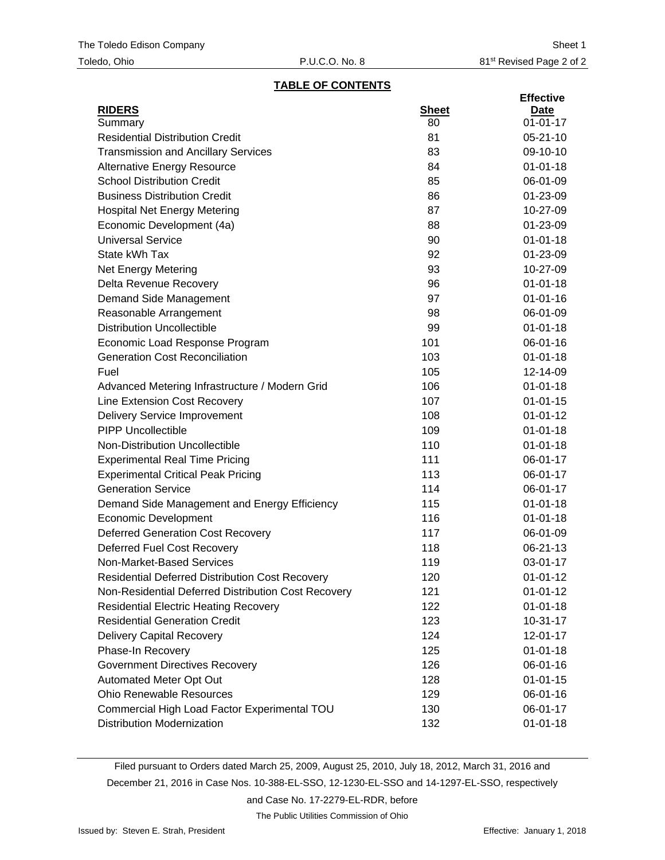## **TABLE OF CONTENTS**

|                                                        |              | <b>Effective</b> |
|--------------------------------------------------------|--------------|------------------|
| <b>RIDERS</b>                                          | <b>Sheet</b> | Date             |
| Summary                                                | 80           | $01 - 01 - 17$   |
| <b>Residential Distribution Credit</b>                 | 81           | $05 - 21 - 10$   |
| <b>Transmission and Ancillary Services</b>             | 83           | 09-10-10         |
| <b>Alternative Energy Resource</b>                     | 84           | $01 - 01 - 18$   |
| <b>School Distribution Credit</b>                      | 85           | 06-01-09         |
| <b>Business Distribution Credit</b>                    | 86           | 01-23-09         |
| <b>Hospital Net Energy Metering</b>                    | 87           | 10-27-09         |
| Economic Development (4a)                              | 88           | 01-23-09         |
| <b>Universal Service</b>                               | 90           | $01 - 01 - 18$   |
| State kWh Tax                                          | 92           | 01-23-09         |
| <b>Net Energy Metering</b>                             | 93           | 10-27-09         |
| Delta Revenue Recovery                                 | 96           | $01 - 01 - 18$   |
| Demand Side Management                                 | 97           | $01 - 01 - 16$   |
| Reasonable Arrangement                                 | 98           | 06-01-09         |
| <b>Distribution Uncollectible</b>                      | 99           | $01 - 01 - 18$   |
| Economic Load Response Program                         | 101          | 06-01-16         |
| <b>Generation Cost Reconciliation</b>                  | 103          | $01 - 01 - 18$   |
| Fuel                                                   | 105          | 12-14-09         |
| Advanced Metering Infrastructure / Modern Grid         | 106          | $01 - 01 - 18$   |
| Line Extension Cost Recovery                           | 107          | $01 - 01 - 15$   |
| <b>Delivery Service Improvement</b>                    | 108          | $01 - 01 - 12$   |
| <b>PIPP Uncollectible</b>                              | 109          | $01 - 01 - 18$   |
| Non-Distribution Uncollectible                         | 110          | $01 - 01 - 18$   |
| <b>Experimental Real Time Pricing</b>                  | 111          | 06-01-17         |
| <b>Experimental Critical Peak Pricing</b>              | 113          | 06-01-17         |
| <b>Generation Service</b>                              | 114          | 06-01-17         |
| Demand Side Management and Energy Efficiency           | 115          | $01 - 01 - 18$   |
| <b>Economic Development</b>                            | 116          | $01 - 01 - 18$   |
| <b>Deferred Generation Cost Recovery</b>               | 117          | 06-01-09         |
| Deferred Fuel Cost Recovery                            | 118          | 06-21-13         |
| Non-Market-Based Services                              | 119          | 03-01-17         |
| <b>Residential Deferred Distribution Cost Recovery</b> | 120          | $01 - 01 - 12$   |
| Non-Residential Deferred Distribution Cost Recovery    | 121          | $01 - 01 - 12$   |
| <b>Residential Electric Heating Recovery</b>           | 122          | $01 - 01 - 18$   |
| <b>Residential Generation Credit</b>                   | 123          | $10 - 31 - 17$   |
| <b>Delivery Capital Recovery</b>                       | 124          | 12-01-17         |
| Phase-In Recovery                                      | 125          | $01 - 01 - 18$   |
| <b>Government Directives Recovery</b>                  | 126          | 06-01-16         |
| Automated Meter Opt Out                                | 128          | $01 - 01 - 15$   |
| <b>Ohio Renewable Resources</b>                        | 129          | 06-01-16         |
| Commercial High Load Factor Experimental TOU           | 130          | 06-01-17         |
| <b>Distribution Modernization</b>                      | 132          | $01 - 01 - 18$   |

Filed pursuant to Orders dated March 25, 2009, August 25, 2010, July 18, 2012, March 31, 2016 and December 21, 2016 in Case Nos. 10-388-EL-SSO, 12-1230-EL-SSO and 14-1297-EL-SSO, respectively and Case No. 17-2279-EL-RDR, before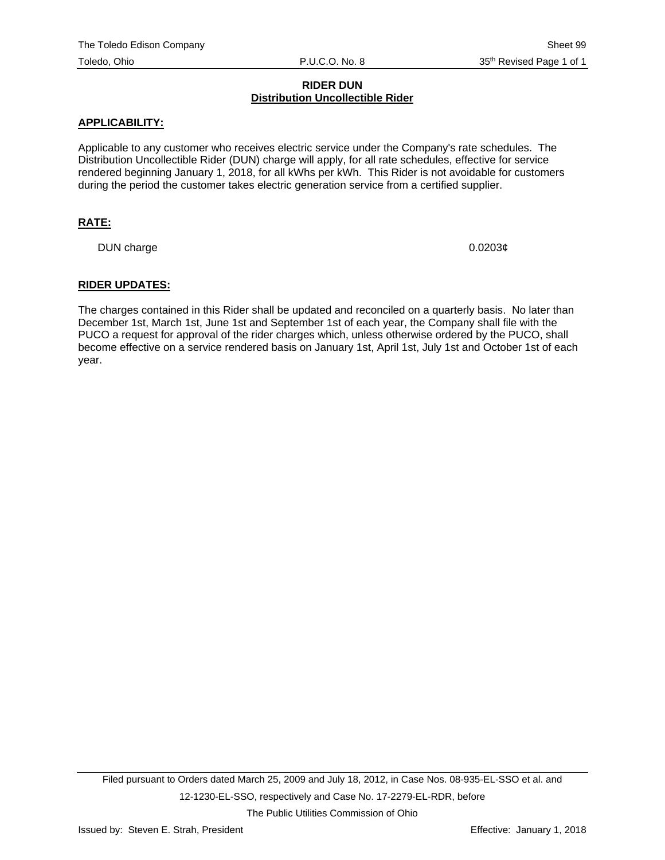# **RIDER DUN Distribution Uncollectible Rider**

## **APPLICABILITY:**

Applicable to any customer who receives electric service under the Company's rate schedules. The Distribution Uncollectible Rider (DUN) charge will apply, for all rate schedules, effective for service rendered beginning January 1, 2018, for all kWhs per kWh. This Rider is not avoidable for customers during the period the customer takes electric generation service from a certified supplier.

# **RATE:**

DUN charge  $0.0203\phi$ 

#### **RIDER UPDATES:**

The charges contained in this Rider shall be updated and reconciled on a quarterly basis. No later than December 1st, March 1st, June 1st and September 1st of each year, the Company shall file with the PUCO a request for approval of the rider charges which, unless otherwise ordered by the PUCO, shall become effective on a service rendered basis on January 1st, April 1st, July 1st and October 1st of each year.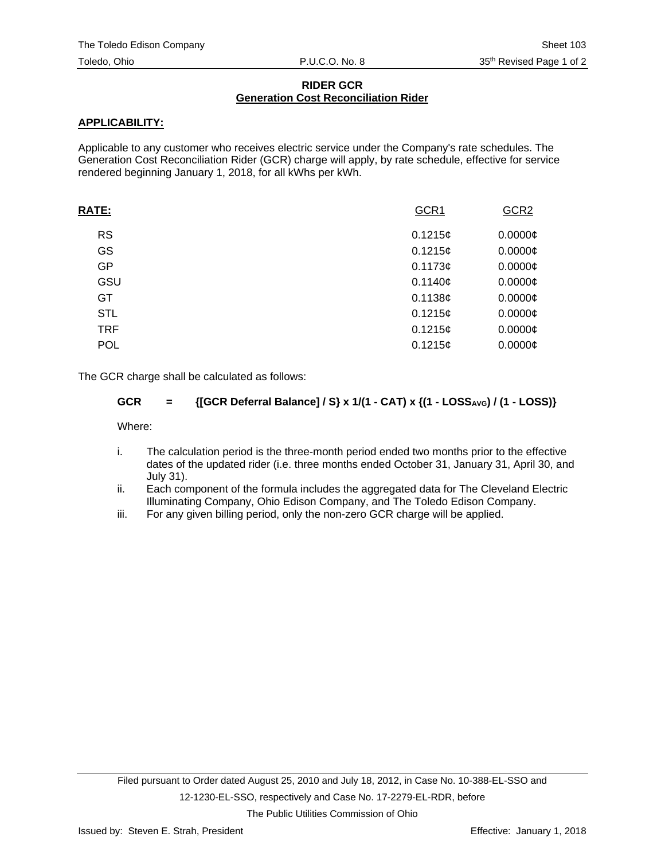# **RIDER GCR Generation Cost Reconciliation Rider**

# **APPLICABILITY:**

Applicable to any customer who receives electric service under the Company's rate schedules. The Generation Cost Reconciliation Rider (GCR) charge will apply, by rate schedule, effective for service rendered beginning January 1, 2018, for all kWhs per kWh.

| <b>RATE:</b> | GCR1    | GCR <sub>2</sub> |
|--------------|---------|------------------|
| <b>RS</b>    | 0.1215¢ | $0.0000$ ¢       |
| GS           | 0.1215c | $0.0000$ ¢       |
| GP           | 0.1173c | $0.0000$ ¢       |
| GSU          | 0.1140c | $0.0000$ ¢       |
| GT           | 0.1138c | $0.0000$ ¢       |
| <b>STL</b>   | 0.1215¢ | $0.0000$ ¢       |
| <b>TRF</b>   | 0.1215c | $0.0000$ ¢       |
| <b>POL</b>   | 0.1215c | $0.0000$ ¢       |
|              |         |                  |

The GCR charge shall be calculated as follows:

# GCR = {[GCR Deferral Balance] / S} x 1/(1 - CAT) x {(1 - LOSS<sub>AVG</sub>) / (1 - LOSS)}

Where:

- i. The calculation period is the three-month period ended two months prior to the effective dates of the updated rider (i.e. three months ended October 31, January 31, April 30, and July 31).
- ii. Each component of the formula includes the aggregated data for The Cleveland Electric Illuminating Company, Ohio Edison Company, and The Toledo Edison Company.
- iii. For any given billing period, only the non-zero GCR charge will be applied.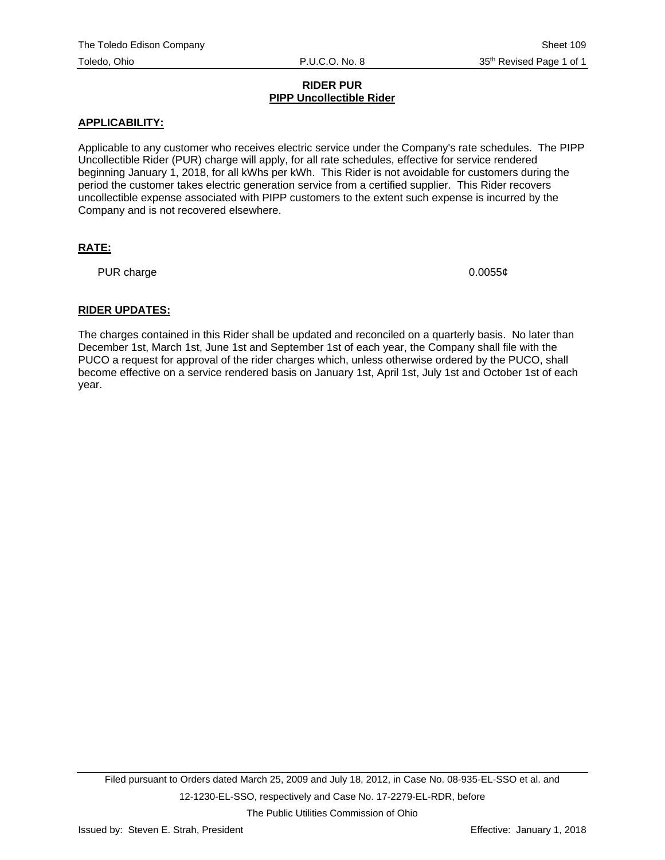## **RIDER PUR PIPP Uncollectible Rider**

# **APPLICABILITY:**

Applicable to any customer who receives electric service under the Company's rate schedules. The PIPP Uncollectible Rider (PUR) charge will apply, for all rate schedules, effective for service rendered beginning January 1, 2018, for all kWhs per kWh. This Rider is not avoidable for customers during the period the customer takes electric generation service from a certified supplier. This Rider recovers uncollectible expense associated with PIPP customers to the extent such expense is incurred by the Company and is not recovered elsewhere.

# **RATE:**

PUR charge  $0.0055¢$ 

# **RIDER UPDATES:**

The charges contained in this Rider shall be updated and reconciled on a quarterly basis. No later than December 1st, March 1st, June 1st and September 1st of each year, the Company shall file with the PUCO a request for approval of the rider charges which, unless otherwise ordered by the PUCO, shall become effective on a service rendered basis on January 1st, April 1st, July 1st and October 1st of each year.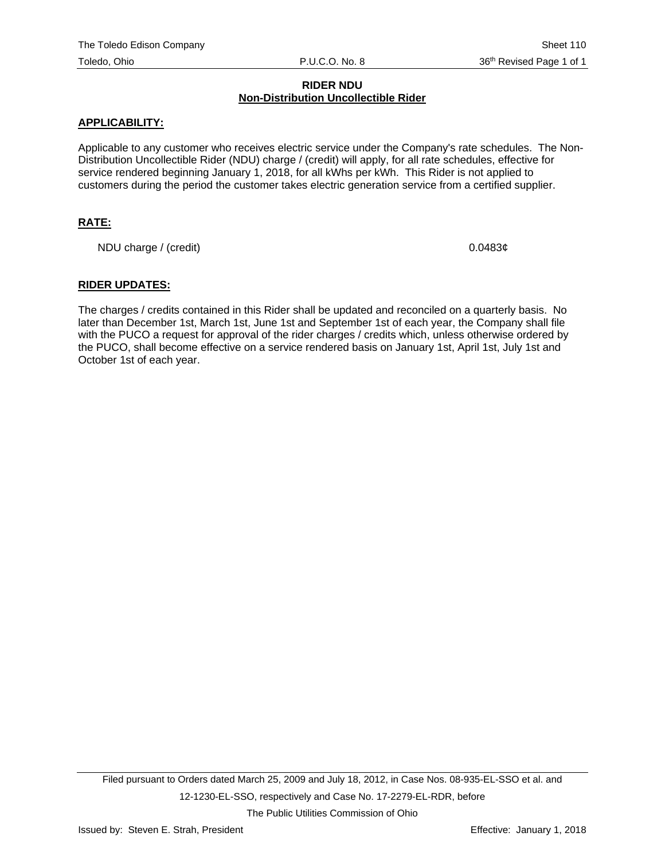## **RIDER NDU Non-Distribution Uncollectible Rider**

## **APPLICABILITY:**

Applicable to any customer who receives electric service under the Company's rate schedules. The Non-Distribution Uncollectible Rider (NDU) charge / (credit) will apply, for all rate schedules, effective for service rendered beginning January 1, 2018, for all kWhs per kWh. This Rider is not applied to customers during the period the customer takes electric generation service from a certified supplier.

# **RATE:**

NDU charge / (credit) 0.0483¢

## **RIDER UPDATES:**

The charges / credits contained in this Rider shall be updated and reconciled on a quarterly basis. No later than December 1st, March 1st, June 1st and September 1st of each year, the Company shall file with the PUCO a request for approval of the rider charges / credits which, unless otherwise ordered by the PUCO, shall become effective on a service rendered basis on January 1st, April 1st, July 1st and October 1st of each year.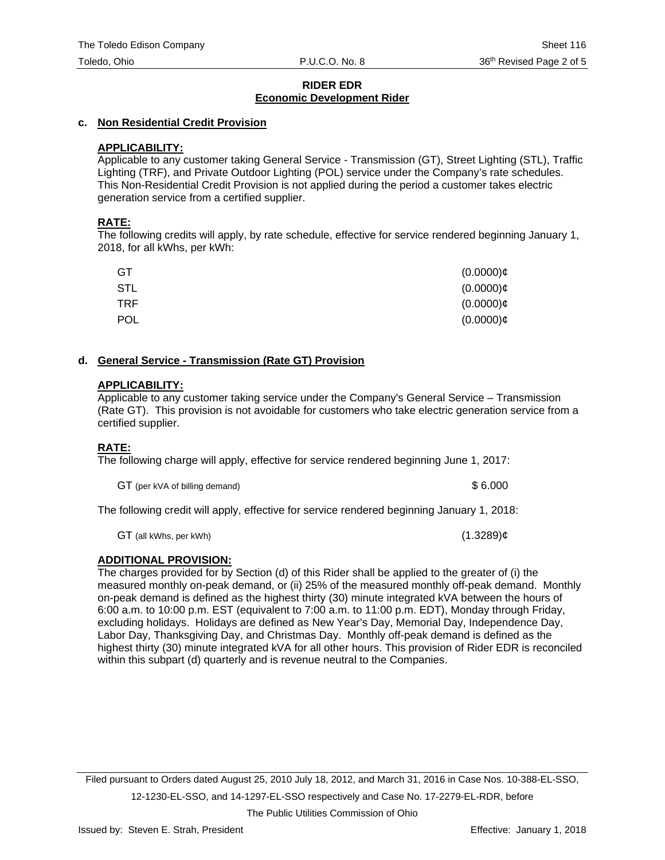# **RIDER EDR Economic Development Rider**

## **c. Non Residential Credit Provision**

## **APPLICABILITY:**

Applicable to any customer taking General Service - Transmission (GT), Street Lighting (STL), Traffic Lighting (TRF), and Private Outdoor Lighting (POL) service under the Company's rate schedules. This Non-Residential Credit Provision is not applied during the period a customer takes electric generation service from a certified supplier.

## **RATE:**

The following credits will apply, by rate schedule, effective for service rendered beginning January 1, 2018, for all kWhs, per kWh:

| GT         | $(0.0000)$ ¢ |
|------------|--------------|
| <b>STL</b> | $(0.0000)$ ¢ |
| TRF.       | $(0.0000)$ ¢ |
| <b>POL</b> | $(0.0000)$ ¢ |

#### **d. General Service - Transmission (Rate GT) Provision**

#### **APPLICABILITY:**

Applicable to any customer taking service under the Company's General Service – Transmission (Rate GT). This provision is not avoidable for customers who take electric generation service from a certified supplier.

# **RATE:**

The following charge will apply, effective for service rendered beginning June 1, 2017:

GT (per kVA of billing demand)  $$6.000$ 

The following credit will apply, effective for service rendered beginning January 1, 2018:

GT (all kWhs, per kWh)  $(1.3289)$ ¢

# **ADDITIONAL PROVISION:**

The charges provided for by Section (d) of this Rider shall be applied to the greater of (i) the measured monthly on-peak demand, or (ii) 25% of the measured monthly off-peak demand. Monthly on-peak demand is defined as the highest thirty (30) minute integrated kVA between the hours of 6:00 a.m. to 10:00 p.m. EST (equivalent to 7:00 a.m. to 11:00 p.m. EDT), Monday through Friday, excluding holidays. Holidays are defined as New Year's Day, Memorial Day, Independence Day, Labor Day, Thanksgiving Day, and Christmas Day. Monthly off-peak demand is defined as the highest thirty (30) minute integrated kVA for all other hours. This provision of Rider EDR is reconciled within this subpart (d) quarterly and is revenue neutral to the Companies.

Filed pursuant to Orders dated August 25, 2010 July 18, 2012, and March 31, 2016 in Case Nos. 10-388-EL-SSO, 12-1230-EL-SSO, and 14-1297-EL-SSO respectively and Case No. 17-2279-EL-RDR, before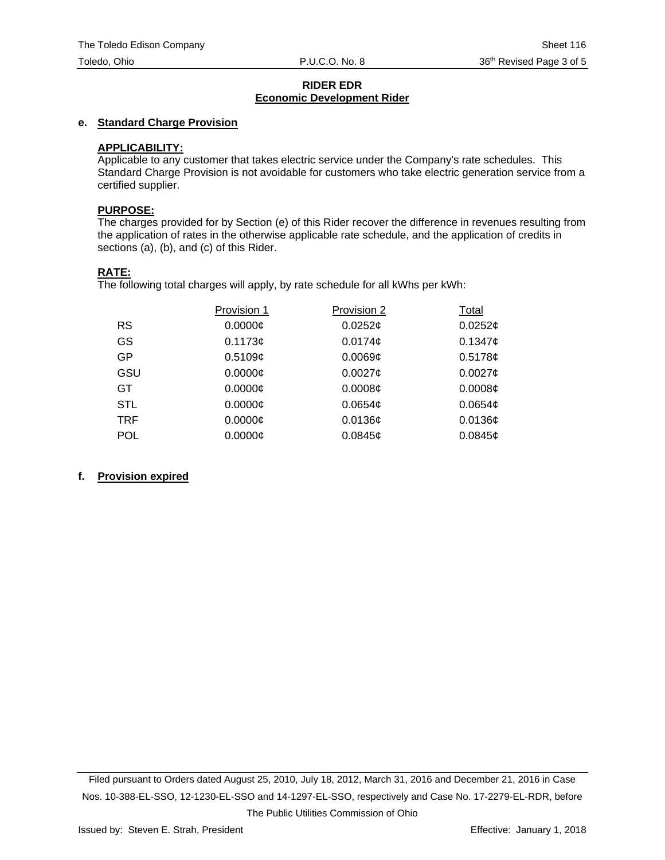## **RIDER EDR Economic Development Rider**

# **e. Standard Charge Provision**

## **APPLICABILITY:**

Applicable to any customer that takes electric service under the Company's rate schedules. This Standard Charge Provision is not avoidable for customers who take electric generation service from a certified supplier.

#### **PURPOSE:**

The charges provided for by Section (e) of this Rider recover the difference in revenues resulting from the application of rates in the otherwise applicable rate schedule, and the application of credits in sections (a), (b), and (c) of this Rider.

## **RATE:**

The following total charges will apply, by rate schedule for all kWhs per kWh:

|            | Provision 1   | Provision 2         | Total               |
|------------|---------------|---------------------|---------------------|
| <b>RS</b>  | 0.0000C       | $0.0252$ ¢          | $0.0252$ ¢          |
| GS         | 0.1173¢       | 0.0174 <sub>¢</sub> | 0.1347c             |
| GP.        | 0.5109c       | $0.0069\mathcal{C}$ | 0.5178c             |
| GSU        | 0.0000C       | 0.0027c             | $0.0027$ ¢          |
| GT.        | $0.0000 \phi$ | 0.0008¢             | 0.0008¢             |
| <b>STL</b> | $0.0000$ ¢    | $0.0654\mathcal{C}$ | 0.0654 <sub>¢</sub> |
| TRF        | $0.0000$ ¢    | $0.0136$ ¢          | $0.0136$ ¢          |
| <b>POL</b> | $0.0000$ ¢    | $0.0845$ ¢          | 0.0845c             |

#### **f. Provision expired**

Filed pursuant to Orders dated August 25, 2010, July 18, 2012, March 31, 2016 and December 21, 2016 in Case Nos. 10-388-EL-SSO, 12-1230-EL-SSO and 14-1297-EL-SSO, respectively and Case No. 17-2279-EL-RDR, before The Public Utilities Commission of Ohio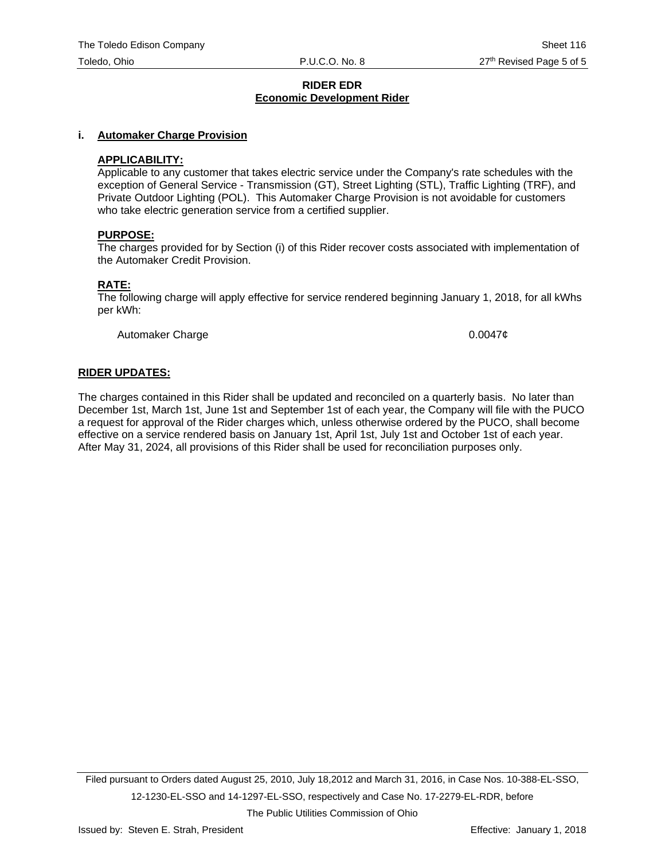#### **RIDER EDR Economic Development Rider**

#### **i. Automaker Charge Provision**

#### **APPLICABILITY:**

Applicable to any customer that takes electric service under the Company's rate schedules with the exception of General Service - Transmission (GT), Street Lighting (STL), Traffic Lighting (TRF), and Private Outdoor Lighting (POL). This Automaker Charge Provision is not avoidable for customers who take electric generation service from a certified supplier.

#### **PURPOSE:**

The charges provided for by Section (i) of this Rider recover costs associated with implementation of the Automaker Credit Provision.

#### **RATE:**

The following charge will apply effective for service rendered beginning January 1, 2018, for all kWhs per kWh:

Automaker Charge **1.2000** 2.00047¢

#### **RIDER UPDATES:**

The charges contained in this Rider shall be updated and reconciled on a quarterly basis. No later than December 1st, March 1st, June 1st and September 1st of each year, the Company will file with the PUCO a request for approval of the Rider charges which, unless otherwise ordered by the PUCO, shall become effective on a service rendered basis on January 1st, April 1st, July 1st and October 1st of each year. After May 31, 2024, all provisions of this Rider shall be used for reconciliation purposes only.